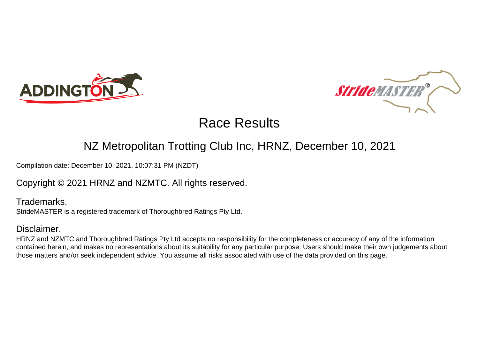



### NZ Metropolitan Trotting Club Inc, HRNZ, December 10, 2021

Compilation date: December 10, 2021, 10:07:31 PM (NZDT)

Copyright © 2021 HRNZ and NZMTC. All rights reserved.

Trademarks. StrideMASTER is a registered trademark of Thoroughbred Ratings Pty Ltd.

### Disclaimer.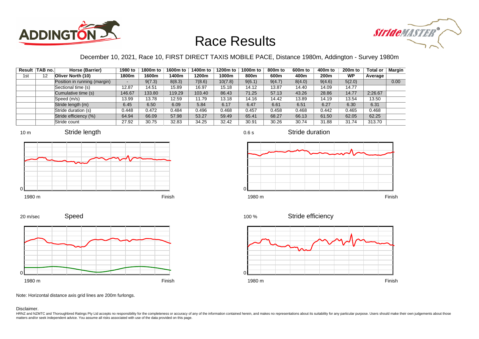



### December 10, 2021, Race 10, FIRST DIRECT TAXIS MOBILE PACE, Distance 1980m, Addington - Survey 1980m

|     | Result TAB no. | Horse (Barrier)              | 1980 to | 1800m to | 1600m to | 1400m to | 1200m to | 1000m to | 800m to | 600 <sub>m</sub> to | 400m to          | 200 <sub>m</sub> to | <b>Total or</b> | Margin |
|-----|----------------|------------------------------|---------|----------|----------|----------|----------|----------|---------|---------------------|------------------|---------------------|-----------------|--------|
| 1st | 12             | Oliver North (10)            | 1800m   | 1600m    | 1400m    | 1200m    | 1000m    | 800m     | 600m    | 400m                | 200 <sub>m</sub> | <b>WP</b>           | Average         |        |
|     |                | Position in running (margin) |         | 9(7.3)   | 8(8.3)   | 7(8.6)   | 10(7.8)  | 9(6.1)   | 9(4.7)  | 8(4.0)              | 9(4.6)           | 5(2.0)              |                 | 0.00   |
|     |                | Sectional time (s)           | 12.87   | 14.51    | 15.89    | 16.97    | 15.18    | 14.12    | 13.87   | 14.40               | 14.09            | 14.77               |                 |        |
|     |                | Cumulative time (s)          | 146.67  | 133.80   | 119.29   | 103.40   | 86.43    | 71.25    | 57.13   | 43.26               | 28.86            | 14.77               | 2:26.67         |        |
|     |                | Speed (m/s)                  | 13.99   | 13.78    | 12.59    | 11.79    | 13.18    | 14.16    | 14.42   | 13.89               | 14.19            | 13.54               | 13.50           |        |
|     |                | Stride length (m)            | 6.45    | 6.50     | 6.09     | 5.84     | 6.17     | 6.47     | 6.61    | 6.51                | 6.27             | 6.30                | 6.31            |        |
|     |                | Stride duration (s)          | 0.448   | 0.472    | 0.484    | 0.496    | 0.468    | 0.457    | 0.458   | 0.468               | 0.442            | 0.465               | 0.468           |        |
|     |                | Stride efficiency (%)        | 64.94   | 66.09    | 57.98    | 53.27    | 59.49    | 65.41    | 68.27   | 66.13               | 61.50            | 62.05               | 62.25           |        |
|     |                | Stride count                 | 27.92   | 30.75    | 32.83    | 34.25    | 32.42    | 30.91    | 30.26   | 30.74               | 31.88            | 31.74               | 313.70          |        |







Stride duration







Speed 20 m/sec



Note: Horizontal distance axis grid lines are 200m furlongs.

Disclaimer.

HRNZ and NZMTC and Thoroughbred Ratings Pty Ltd accepts no responsibility for the completeness or accuracy of any of the information contained herein, and makes no representations about its suitability for any particular p matters and/or seek independent advice. You assume all risks associated with use of the data provided on this page.

0.6 s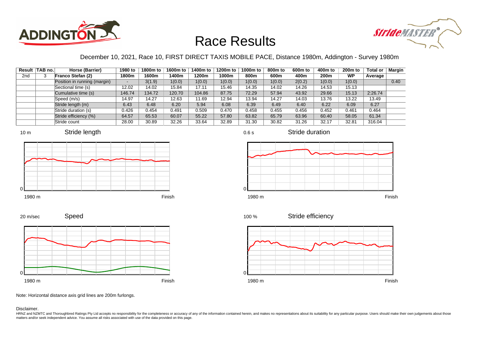



### December 10, 2021, Race 10, FIRST DIRECT TAXIS MOBILE PACE, Distance 1980m, Addington - Survey 1980m

|                 | Result TAB no. | Horse (Barrier)              | 1980 to | 1800m to | 1600m to | 1400m to | 1200m to | 1000m to | 800m to | 600 <sub>m</sub> to | 400m to | 200 <sub>m</sub> to | <b>Total or</b> | Margin |
|-----------------|----------------|------------------------------|---------|----------|----------|----------|----------|----------|---------|---------------------|---------|---------------------|-----------------|--------|
| 2 <sub>nd</sub> |                | Franco Stefan (2)            | 1800m   | 1600m    | 1400m    | 1200m    | 1000m    | 800m     | 600m    | 400m                | 200m    | WP                  | Average         |        |
|                 |                | Position in running (margin) |         | 3(1.9)   | 1(0.0)   | 1(0.0)   | 1(0.0)   | 1(0.0)   | 1(0.0)  | 2(0.2)              | 1(0.0)  | 1(0.0)              |                 | 0.40   |
|                 |                | Sectional time (s)           | 12.02   | 14.02    | 15.84    | 17.11    | 15.46    | 14.35    | 14.02   | 14.26               | 14.53   | 15.13               |                 |        |
|                 |                | Cumulative time (s)          | 146.74  | 134.72   | 120.70   | 104.86   | 87.75    | 72.29    | 57.94   | 43.92               | 29.66   | 15.13               | 2:26.74         |        |
|                 |                | Speed (m/s)                  | 14.97   | 14.27    | 12.63    | 11.69    | 12.94    | 13.94    | 14.27   | 14.03               | 13.76   | 13.22               | 13.49           |        |
|                 |                | Stride length (m)            | 6.43    | 6.48     | 6.20     | 5.94     | 6.08     | 6.39     | 6.49    | 6.40                | 6.22    | 6.09                | 6.27            |        |
|                 |                | Stride duration (s)          | 0.426   | 0.454    | 0.491    | 0.509    | 0.470    | 0.458    | 0.455   | 0.456               | 0.452   | 0.461               | 0.464           |        |
|                 |                | Stride efficiency (%)        | 64.57   | 65.53    | 60.07    | 55.22    | 57.80    | 63.82    | 65.79   | 63.96               | 60.40   | 58.05               | 61.34           |        |
|                 |                | Stride count                 | 28.00   | 30.89    | 32.26    | 33.64    | 32.89    | 31.30    | 30.82   | 31.26               | 32.17   | 32.81               | 316.04          |        |







0.6 s

Stride duration









Stride efficiency 100 %



Note: Horizontal distance axis grid lines are 200m furlongs.

#### Disclaimer.

0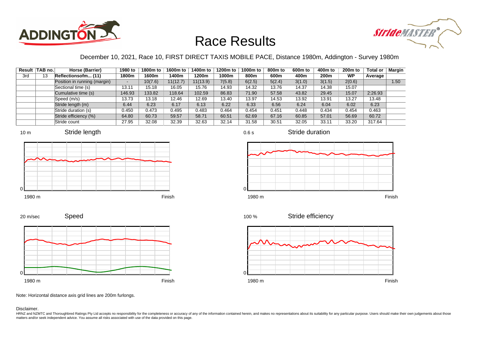



### December 10, 2021, Race 10, FIRST DIRECT TAXIS MOBILE PACE, Distance 1980m, Addington - Survey 1980m

|     | Result TAB no. | Horse (Barrier)              | 1980 to | 1800m to | 1600m to | 1400m to | 1200m to | 1000m to | 800m to | 600 <sub>m</sub> to | 400m to          | 200 <sub>m</sub> to | <b>Total or</b> | Margin |
|-----|----------------|------------------------------|---------|----------|----------|----------|----------|----------|---------|---------------------|------------------|---------------------|-----------------|--------|
| 3rd | 13             | Reflectionsofm (11)          | 1800m   | 1600m    | 1400m    | 1200m    | 1000m    | 800m     | 600m    | 400m                | 200 <sub>m</sub> | <b>WP</b>           | Average         |        |
|     |                | Position in running (margin) |         | 10(7.6)  | 11(12.7) | 11(13.9) | 7(5.8)   | 6(2.5)   | 5(2.4)  | 3(1.0)              | 3(1.5)           | 2(0.6)              |                 | 1.50   |
|     |                | Sectional time (s)           | 13.11   | 15.18    | 16.05    | 15.76    | 14.93    | 14.32    | 13.76   | 14.37               | 14.38            | 15.07               |                 |        |
|     |                | Cumulative time (s)          | 146.93  | 133.82   | 118.64   | 102.59   | 86.83    | 71.90    | 57.58   | 43.82               | 29.45            | 15.07               | 2:26.93         |        |
|     |                | Speed (m/s)                  | 13.73   | 13.18    | 12.46    | 12.69    | 13.40    | 13.97    | 14.53   | 13.92               | 13.91            | 13.27               | 13.48           |        |
|     |                | Stride length (m)            | 6.44    | 6.23     | 6.17     | 6.13     | 6.22     | 6.33     | 6.56    | 6.24                | 6.04             | 6.02                | 6.23            |        |
|     |                | Stride duration (s)          | 0.450   | 0.473    | 0.495    | 0.483    | 0.464    | 0.454    | 0.451   | 0.448               | 0.434            | 0.454               | 0.463           |        |
|     |                | Stride efficiency (%)        | 64.80   | 60.73    | 59.57    | 58.71    | 60.51    | 62.69    | 67.16   | 60.85               | 57.01            | 56.69               | 60.72           |        |
|     |                | Stride count                 | 27.95   | 32.08    | 32.39    | 32.63    | 32.14    | 31.58    | 30.51   | 32.05               | 33.11            | 33.20               | 317.64          |        |







Stride duration











Note: Horizontal distance axis grid lines are 200m furlongs.

Disclaimer.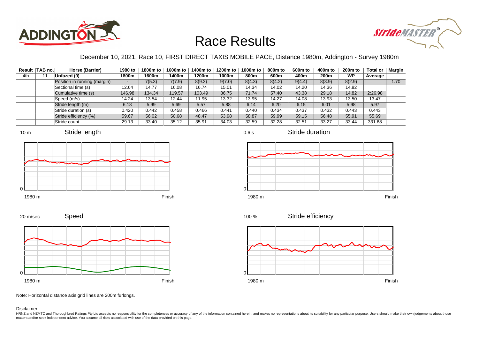



### December 10, 2021, Race 10, FIRST DIRECT TAXIS MOBILE PACE, Distance 1980m, Addington - Survey 1980m

|     | Result TAB no. | Horse (Barrier)              | 1980 to | 1800m to | 1600m to | 1400m to | 1200m to | 1000m to | 800m to | 600 <sub>m</sub> to | 400m to | 200 <sub>m</sub> to | <b>Total or</b> | Margin |
|-----|----------------|------------------------------|---------|----------|----------|----------|----------|----------|---------|---------------------|---------|---------------------|-----------------|--------|
| 4th |                | Unfazed (9)                  | 1800m   | 1600m    | 1400m    | 1200m    | 1000m    | 800m     | 600m    | 400m                | 200m    | <b>WP</b>           | Average         |        |
|     |                | Position in running (margin) |         | 7(5.3)   | 7(7.9)   | 8(9.3)   | 9(7.0)   | 8(4.3)   | 8(4.2)  | 9(4.4)              | 8(3.9)  | 8(2.9)              |                 | 1.70   |
|     |                | Sectional time (s)           | 12.64   | 14.77    | 16.08    | 16.74    | 15.01    | 14.34    | 14.02   | 14.20               | 14.36   | 14.82               |                 |        |
|     |                | Cumulative time (s)          | 146.98  | 134.34   | 119.57   | 103.49   | 86.75    | 71.74    | 57.40   | 43.38               | 29.18   | 14.82               | 2:26.98         |        |
|     |                | Speed (m/s)                  | 14.24   | 13.54    | 12.44    | 11.95    | 13.32    | 13.95    | 14.27   | 14.08               | 13.93   | 13.50               | 13.47           |        |
|     |                | Stride length (m)            | 6.18    | 5.99     | 5.69     | 5.57     | 5.88     | 6.14     | 6.20    | 6.15                | 6.01    | 5.98                | 5.97            |        |
|     |                | Stride duration (s)          | 0.420   | 0.442    | 0.458    | 0.466    | 0.441    | 0.440    | 0.434   | 0.437               | 0.432   | 0.443               | 0.443           |        |
|     |                | Stride efficiency (%)        | 59.67   | 56.02    | 50.68    | 48.47    | 53.98    | 58.87    | 59.99   | 59.15               | 56.48   | 55.91               | 55.69           |        |
|     |                | Stride count                 | 29.13   | 33.40    | 35.12    | 35.91    | 34.03    | 32.59    | 32.28   | 32.51               | 33.27   | 33.44               | 331.68          |        |











0.6 s

Stride duration



Stride efficiency 100 %



Note: Horizontal distance axis grid lines are 200m furlongs.

#### Disclaimer.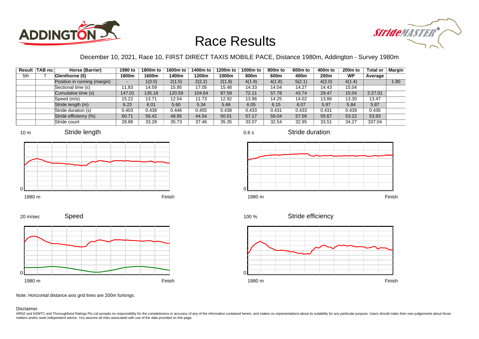



#### December 10, 2021, Race 10, FIRST DIRECT TAXIS MOBILE PACE, Distance 1980m, Addington - Survey 1980m

|     | Result TAB no. | Horse (Barrier)              | 1980 to                  | 1800m to | 1600m to | 1400m to | 1200m to | 1000m to | 800m to | 600 <sub>m</sub> to | 400m to | 200 <sub>m</sub> to | <b>Total or</b> | Margin |
|-----|----------------|------------------------------|--------------------------|----------|----------|----------|----------|----------|---------|---------------------|---------|---------------------|-----------------|--------|
| 5th |                | Glenthorne (5)               | 1800m                    | 1600m    | 1400m    | 1200m    | 1000m    | 800m     | 600m    | 400m                | 200m    | <b>WP</b>           | Average         |        |
|     |                | Position in running (margin) | $\overline{\phantom{0}}$ | 1(0.0)   | 2(1.5)   | 2(2.2)   | 2(1.8)   | 4(1.9)   | 4(1.8)  | 5(2.1)              | 4(2.0)  | 4(1.4)              |                 | 1.90   |
|     |                | Sectional time (s)           | 11.83                    | 14.59    | 15.95    | 17.05    | 15.48    | 14.33    | 14.04   | 14.27               | 14.43   | 15.04               |                 |        |
|     |                | Cumulative time (s)          | 147.01                   | 135.18   | 120.59   | 104.64   | 87.59    | 72.11    | 57.78   | 43.74               | 29.47   | 15.04               | 2:27.01         |        |
|     |                | Speed (m/s)                  | 15.22                    | 13.71    | 12.54    | 11.73    | 12.92    | 13.96    | 14.25   | 14.02               | 13.86   | 13.30               | 13.47           |        |
|     |                | Stride length (m)            | 6.23                     | 6.01     | 5.60     | 5.34     | 5.66     | 6.05     | 6.15    | 6.07                | 5.97    | 5.84                | 5.87            |        |
|     |                | Stride duration (s)          | 0.403                    | 0.438    | 0.446    | 0.455    | 0.438    | 0.433    | 0.431   | 0.433               | 0.431   | 0.439               | 0.436           |        |
|     |                | Stride efficiency (%)        | 60.71                    | 56.42    | 48.95    | 44.54    | 50.01    | 57.17    | 59.04   | 57.56               | 55.67   | 53.22               | 53.93           |        |
|     |                | Stride count                 | 28.88                    | 33.28    | 35.73    | 37.46    | 35.35    | 33.07    | 32.54   | 32.95               | 33.51   | 34.27               | 337.04          |        |









0.6 s

Stride duration



Stride efficiency 100 %



Note: Horizontal distance axis grid lines are 200m furlongs.

Disclaimer.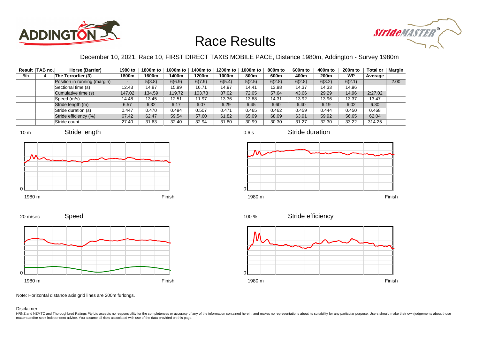



### December 10, 2021, Race 10, FIRST DIRECT TAXIS MOBILE PACE, Distance 1980m, Addington - Survey 1980m

|     | Result TAB no. | Horse (Barrier)              | 1980 to | 1800m to | 1600m to | 1400m to | 1200m to | 1000m to | 800m to | 600 <sub>m</sub> to | 400m to | 200 <sub>m</sub> to | <b>Total or</b> | Margin |
|-----|----------------|------------------------------|---------|----------|----------|----------|----------|----------|---------|---------------------|---------|---------------------|-----------------|--------|
| 6th |                | The Terrorfier (3)           | 1800m   | 1600m    | 1400m    | 1200m    | 1000m    | 800m     | 600m    | 400m                | 200m    | <b>WP</b>           | Average         |        |
|     |                | Position in running (margin) |         | 5(3.8)   | 6(6.9)   | 6(7.9)   | 6(5.4)   | 5(2.5)   | 6(2.8)  | 6(2.8)              | 6(3.2)  | 6(2.1)              |                 | 2.00   |
|     |                | Sectional time (s)           | 12.43   | 14.87    | 15.99    | 16.71    | 14.97    | 14.41    | 13.98   | 14.37               | 14.33   | 14.96               |                 |        |
|     |                | Cumulative time (s)          | 147.02  | 134.59   | 119.72   | 103.73   | 87.02    | 72.05    | 57.64   | 43.66               | 29.29   | 14.96               | 2:27.02         |        |
|     |                | Speed (m/s)                  | 14.48   | 13.45    | 12.51    | 11.97    | 13.36    | 13.88    | 14.31   | 13.92               | 13.96   | 13.37               | 13.47           |        |
|     |                | Stride length (m)            | 6.57    | 6.32     | 6.17     | 6.07     | 6.29     | 6.45     | 6.60    | 6.40                | 6.19    | 6.02                | 6.30            |        |
|     |                | Stride duration (s)          | 0.447   | 0.470    | 0.494    | 0.507    | 0.471    | 0.465    | 0.462   | 0.459               | 0.444   | 0.450               | 0.468           |        |
|     |                | Stride efficiency (%)        | 67.42   | 62.47    | 59.54    | 57.60    | 61.82    | 65.09    | 68.09   | 63.91               | 59.92   | 56.65               | 62.04           |        |
|     |                | Stride count                 | 27.40   | 31.63    | 32.40    | 32.94    | 31.80    | 30.99    | 30.30   | 31.27               | 32.30   | 33.22               | 314.25          |        |



















Note: Horizontal distance axis grid lines are 200m furlongs.

Disclaimer.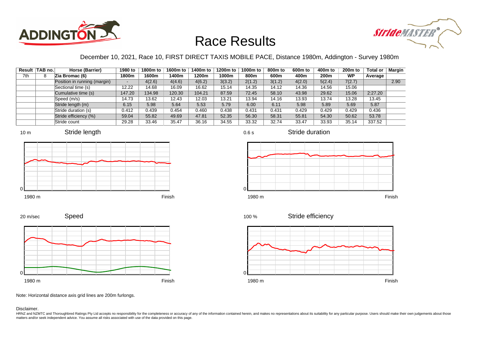



#### December 10, 2021, Race 10, FIRST DIRECT TAXIS MOBILE PACE, Distance 1980m, Addington - Survey 1980m

|     | Result TAB no. | Horse (Barrier)              | 1980 to                  | 1800m to | 1600m to | 1400m to | 1200m to | 1000m to | 800m to | 600 <sub>m</sub> to | 400m to | 200 <sub>m</sub> to | <b>Total or</b> | Margin |
|-----|----------------|------------------------------|--------------------------|----------|----------|----------|----------|----------|---------|---------------------|---------|---------------------|-----------------|--------|
| 7th |                | Zia Bromac (6)               | 1800m                    | 1600m    | 1400m    | 1200m    | 1000m    | 800m     | 600m    | 400m                | 200m    | <b>WP</b>           | Average         |        |
|     |                | Position in running (margin) | $\overline{\phantom{0}}$ | 4(2.6)   | 4(4.6)   | 4(6.2)   | 3(3.2)   | 2(1.2)   | 3(1.2)  | 4(2.0)              | 5(2.4)  | 7(2.7)              |                 | 2.90   |
|     |                | Sectional time (s)           | 12.22                    | 14.68    | 16.09    | 16.62    | 15.14    | 14.35    | 14.12   | 14.36               | 14.56   | 15.06               |                 |        |
|     |                | Cumulative time (s)          | 147.20                   | 134.98   | 120.30   | 104.21   | 87.59    | 72.45    | 58.10   | 43.98               | 29.62   | 15.06               | 2:27.20         |        |
|     |                | Speed (m/s)                  | 14.73                    | 13.62    | 12.43    | 12.03    | 13.21    | 13.94    | 14.16   | 13.93               | 13.74   | 13.28               | 13.45           |        |
|     |                | Stride length (m)            | 6.15                     | 5.98     | 5.64     | 5.53     | 5.79     | 6.00     | 6.11    | 5.98                | 5.89    | 5.69                | 5.87            |        |
|     |                | Stride duration (s)          | 0.412                    | 0.439    | 0.454    | 0.460    | 0.438    | 0.431    | 0.431   | 0.429               | 0.429   | 0.429               | 0.436           |        |
|     |                | Stride efficiency (%)        | 59.04                    | 55.82    | 49.69    | 47.81    | 52.35    | 56.30    | 58.31   | 55.81               | 54.30   | 50.62               | 53.78           |        |
|     |                | Stride count                 | 29.28                    | 33.46    | 35.47    | 36.16    | 34.55    | 33.32    | 32.74   | 33.47               | 33.93   | 35.14               | 337.52          |        |

















Speed 20 m/sec



Note: Horizontal distance axis grid lines are 200m furlongs.

Disclaimer.

HRNZ and NZMTC and Thoroughbred Ratings Pty Ltd accepts no responsibility for the completeness or accuracy of any of the information contained herein, and makes no representations about its suitability for any particular p matters and/or seek independent advice. You assume all risks associated with use of the data provided on this page.

0.6 s

Stride duration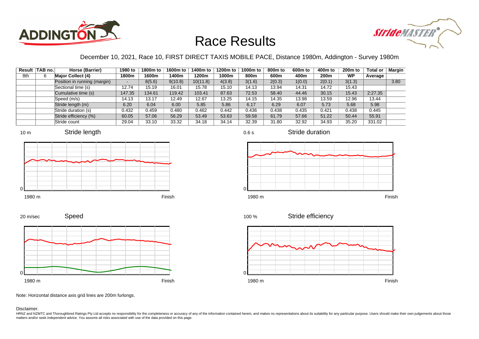



### December 10, 2021, Race 10, FIRST DIRECT TAXIS MOBILE PACE, Distance 1980m, Addington - Survey 1980m

0.6 s

|     | Result   TAB no. | Horse (Barrier)              | 1980 to | 1800m to | 1600m to | 1400m to | 1200m to | 1000m to | 800m to | 600 <sub>m</sub> to | 400m to          | 200 <sub>m</sub> to | <b>Total or</b> | Margin |
|-----|------------------|------------------------------|---------|----------|----------|----------|----------|----------|---------|---------------------|------------------|---------------------|-----------------|--------|
| 8th |                  | <b>Major Collect (4)</b>     | 1800m   | 1600m    | 1400m    | 1200m    | 1000m    | 800m     | 600m    | 400m                | 200 <sub>m</sub> | <b>WP</b>           | Average         |        |
|     |                  | Position in running (margin) |         | 8(5.6)   | 9(10.8)  | 10(11.8) | 4(3.8)   | 3(1.6)   | 2(0.3)  | 1(0.0)              | 2(0.1)           | 3(1.3)              |                 | 3.80   |
|     |                  | Sectional time (s)           | 12.74   | 15.19    | 16.01    | 15.78    | 15.10    | 14.13    | 13.94   | 14.31               | 14.72            | 15.43               |                 |        |
|     |                  | Cumulative time (s)          | 147.35  | 134.61   | 119.42   | 103.41   | 87.63    | 72.53    | 58.40   | 44.46               | 30.15            | 15.43               | 2:27.35         |        |
|     |                  | Speed (m/s)                  | 14.13   | 13.17    | 12.49    | 12.67    | 13.25    | 14.15    | 14.35   | 13.98               | 13.59            | 12.96               | 13.44           |        |
|     |                  | Stride length (m)            | 6.20    | 6.04     | 6.00     | 5.85     | 5.86     | 6.17     | 6.29    | 6.07                | 5.73             | 5.68                | 5.98            |        |
|     |                  | Stride duration (s)          | 0.432   | 0.459    | 0.480    | 0.462    | 0.442    | 0.436    | 0.438   | 0.435               | 0.421            | 0.438               | 0.445           |        |
|     |                  | Stride efficiency (%)        | 60.05   | 57.06    | 56.29    | 53.49    | 53.63    | 59.58    | 61.79   | 57.66               | 51.22            | 50.44               | 55.91           |        |
|     |                  | Stride count                 | 29.04   | 33.10    | 33.32    | 34.18    | 34.14    | 32.39    | 31.80   | 32.92               | 34.93            | 35.20               | 331.02          |        |







Stride duration













Note: Horizontal distance axis grid lines are 200m furlongs.

#### Disclaimer.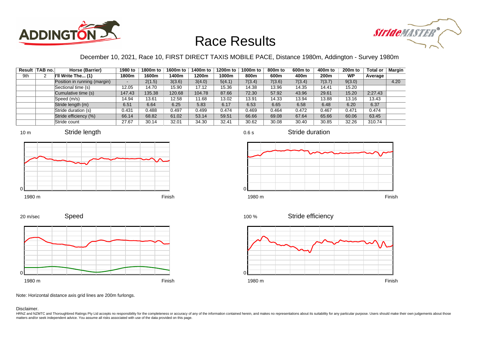



### December 10, 2021, Race 10, FIRST DIRECT TAXIS MOBILE PACE, Distance 1980m, Addington - Survey 1980m

|     | Result TAB no. | Horse (Barrier)              | 1980 to                  | 1800m to | 1600m to | 1400m to | 1200m to | 1000m to | 800 <sub>m</sub> to | 600 <sub>m</sub> to | 400m to | 200 <sub>m</sub> to | <b>Total or</b> | Margin |
|-----|----------------|------------------------------|--------------------------|----------|----------|----------|----------|----------|---------------------|---------------------|---------|---------------------|-----------------|--------|
| 9th |                | I'll Write The (1)           | 1800m                    | 1600m    | 1400m    | 1200m    | 1000m    | 800m     | 600m                | 400m                | 200m    | WP                  | Average         |        |
|     |                | Position in running (margin) | $\overline{\phantom{0}}$ | 2(1.5)   | 3(3.6)   | 3(4.0)   | 5(4.1)   | 7(3.4)   | 7(3.6)              | 7(3.4)              | 7(3.7)  | 9(3.0)              |                 | 4.20   |
|     |                | Sectional time (s)           | 12.05                    | 14.70    | 15.90    | 17.12    | 15.36    | 14.38    | 13.96               | 14.35               | 14.41   | 15.20               |                 |        |
|     |                | Cumulative time (s)          | 147.43                   | 135.38   | 120.68   | 104.78   | 87.66    | 72.30    | 57.92               | 43.96               | 29.61   | 15.20               | 2:27.43         |        |
|     |                | Speed (m/s)                  | 14.94                    | 13.61    | 12.58    | 11.68    | 13.02    | 13.91    | 14.33               | 13.94               | 13.88   | 13.16               | 13.43           |        |
|     |                | Stride length (m)            | 6.51                     | 6.64     | 6.25     | 5.83     | 6.17     | 6.53     | 6.65                | 6.58                | 6.48    | 6.20                | 6.37            |        |
|     |                | Stride duration (s)          | 0.431                    | 0.488    | 0.497    | 0.499    | 0.474    | 0.469    | 0.464               | 0.472               | 0.467   | 0.471               | 0.474           |        |
|     |                | Stride efficiency (%)        | 66.14                    | 68.82    | 61.02    | 53.14    | 59.51    | 66.66    | 69.08               | 67.64               | 65.66   | 60.06               | 63.45           |        |
|     |                | Stride count                 | 27.67                    | 30.14    | 32.01    | 34.30    | 32.41    | 30.62    | 30.08               | 30.40               | 30.85   | 32.26               | 310.74          |        |









0.6 s

Stride duration



Stride efficiency 100 %



Note: Horizontal distance axis grid lines are 200m furlongs.

Disclaimer.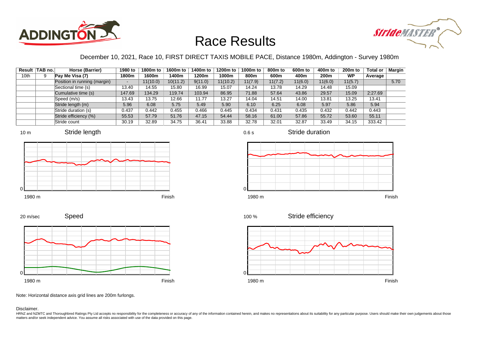



### December 10, 2021, Race 10, FIRST DIRECT TAXIS MOBILE PACE, Distance 1980m, Addington - Survey 1980m

|      | Result TAB no. | Horse (Barrier)              | 1980 to | 1800m to | 1600m to | 1400m to | 1200m to | 1000m to | 800m to | 600 <sub>m</sub> to | 400m to | 200 <sub>m</sub> to | <b>Total or</b> | Margin |
|------|----------------|------------------------------|---------|----------|----------|----------|----------|----------|---------|---------------------|---------|---------------------|-----------------|--------|
| 10th |                | Pay Me Visa (7)              | 1800m   | 1600m    | 1400m    | 1200m    | 1000m    | 800m     | 600m    | 400m                | 200m    | <b>WP</b>           | Average         |        |
|      |                | Position in running (margin) |         | 11(10.0) | 10(11.2) | 9(11.0)  | 11(10.2) | 11(7.9)  | 11(7.2) | 11(6.0)             | 11(6.0) | 11(5.7)             |                 | 5.70   |
|      |                | Sectional time (s)           | 13.40   | 14.55    | 15.80    | 16.99    | 15.07    | 14.24    | 13.78   | 14.29               | 14.48   | 15.09               |                 |        |
|      |                | Cumulative time (s)          | 147.69  | 134.29   | 119.74   | 103.94   | 86.95    | 71.88    | 57.64   | 43.86               | 29.57   | 15.09               | 2:27.69         |        |
|      |                | Speed (m/s)                  | 13.43   | 13.75    | 12.66    | 11.77    | 13.27    | 14.04    | 14.51   | 14.00               | 13.81   | 13.25               | 13.41           |        |
|      |                | Stride length (m)            | 5.96    | 6.08     | 5.75     | 5.49     | 5.90     | 6.10     | 6.25    | 6.08                | 5.97    | 5.86                | 5.94            |        |
|      |                | Stride duration (s)          | 0.437   | 0.442    | 0.455    | 0.466    | 0.445    | 0.434    | 0.431   | 0.435               | 0.432   | 0.442               | 0.443           |        |
|      |                | Stride efficiency (%)        | 55.53   | 57.79    | 51.76    | 47.15    | 54.44    | 58.16    | 61.00   | 57.86               | 55.72   | 53.60               | 55.11           |        |
|      |                | Stride count                 | 30.19   | 32.89    | 34.75    | 36.41    | 33.88    | 32.78    | 32.01   | 32.87               | 33.49   | 34.15               | 333.42          |        |











Stride duration







Note: Horizontal distance axis grid lines are 200m furlongs.

#### Disclaimer.